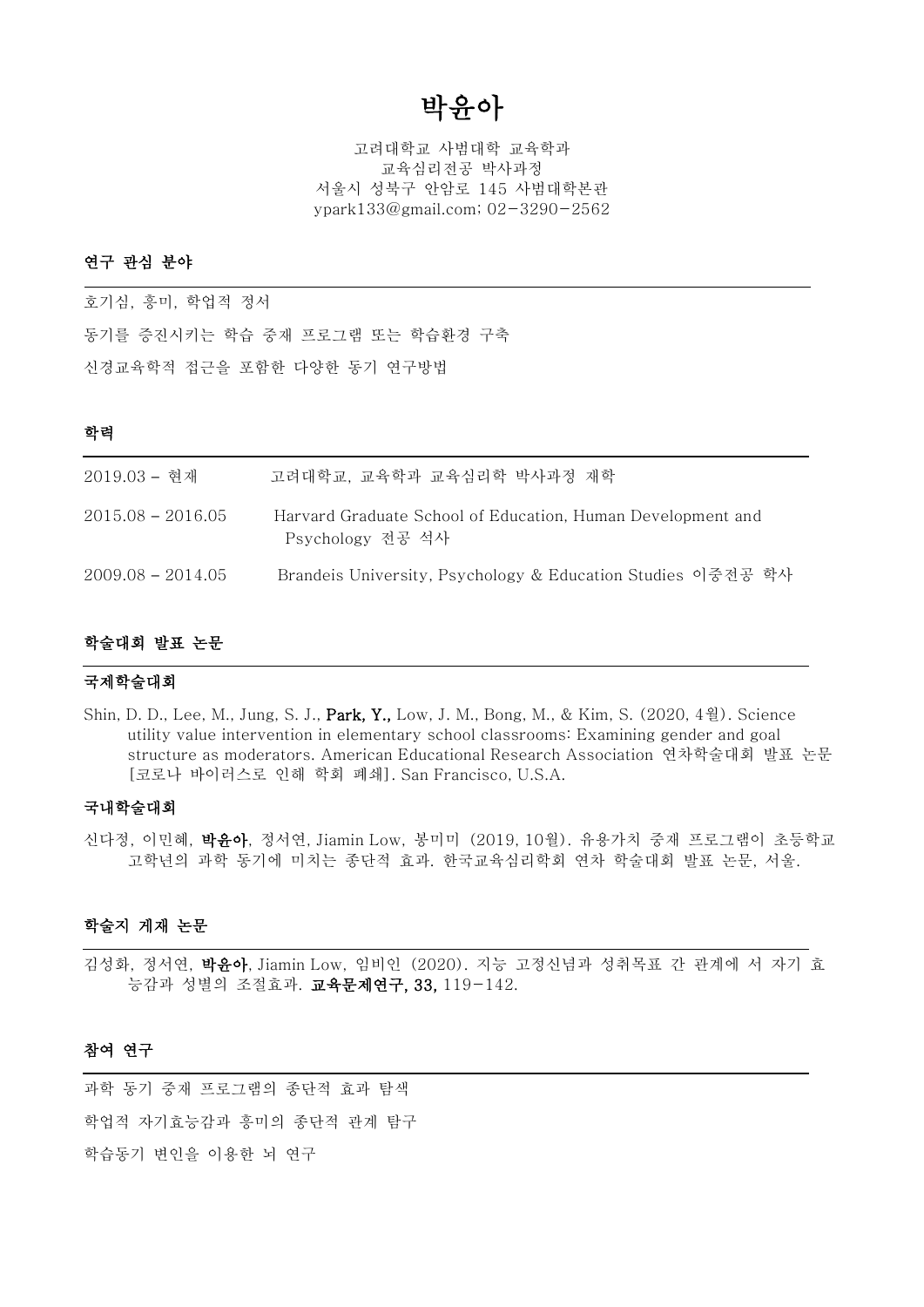# 박윤아

고려대학교 사범대학 교육학과 교육심리전공 박사과정 서울시 성북구 안암로 145 사범대학본관 ypark133@gmail.com; 02-3290-2562

### 연구 관심 분야

호기심, 흥미, 학업적 정서 동기를 증진시키는 학습 중재 프로그램 또는 학습환경 구축 신경교육학적 접근을 포함한 다양한 동기 연구방법

### 학력

| 2019.03 - 현재        | 고려대학교. 교육학과 교육심리학 박사과정 재학                                                       |
|---------------------|---------------------------------------------------------------------------------|
| $2015.08 - 2016.05$ | Harvard Graduate School of Education, Human Development and<br>Psychology 전공 석사 |
| $2009.08 - 2014.05$ | Brandeis University, Psychology & Education Studies 이중전공 학사                     |

### 학술대회 발표 논문

#### 국제학술대회

Shin, D. D., Lee, M., Jung, S. J., Park, Y., Low, J. M., Bong, M., & Kim, S. (2020, 4월). Science utility value intervention in elementary school classrooms: Examining gender and goal structure as moderators. American Educational Research Association 연차학술대회 발표 논문 [코로나 바이러스로 인해 학회 폐쇄]. San Francisco, U.S.A.

### 국내학술대회

신다정, 이민혜, 박윤아, 정서연, Jiamin Low, 봉미미 (2019, 10월). 유용가치 중재 프로그램이 초등학교 고학년의 과학 동기에 미치는 종단적 효과. 한국교육심리학회 연차 학술대회 발표 논문, 서울.

## 학술지 게재 논문

김성화, 정서연, 박윤아, Jiamin Low, 임비인 (2020). 지능 고정신념과 성취목표 간 관계에 서 자기 효 능감과 성별의 조절효과. 교육문제연구, 33, 119-142.

#### 참여 연구

과학 동기 중재 프로그램의 종단적 효과 탐색 학업적 자기효능감과 흥미의 종단적 관계 탐구 학습동기 변인을 이용한 뇌 연구